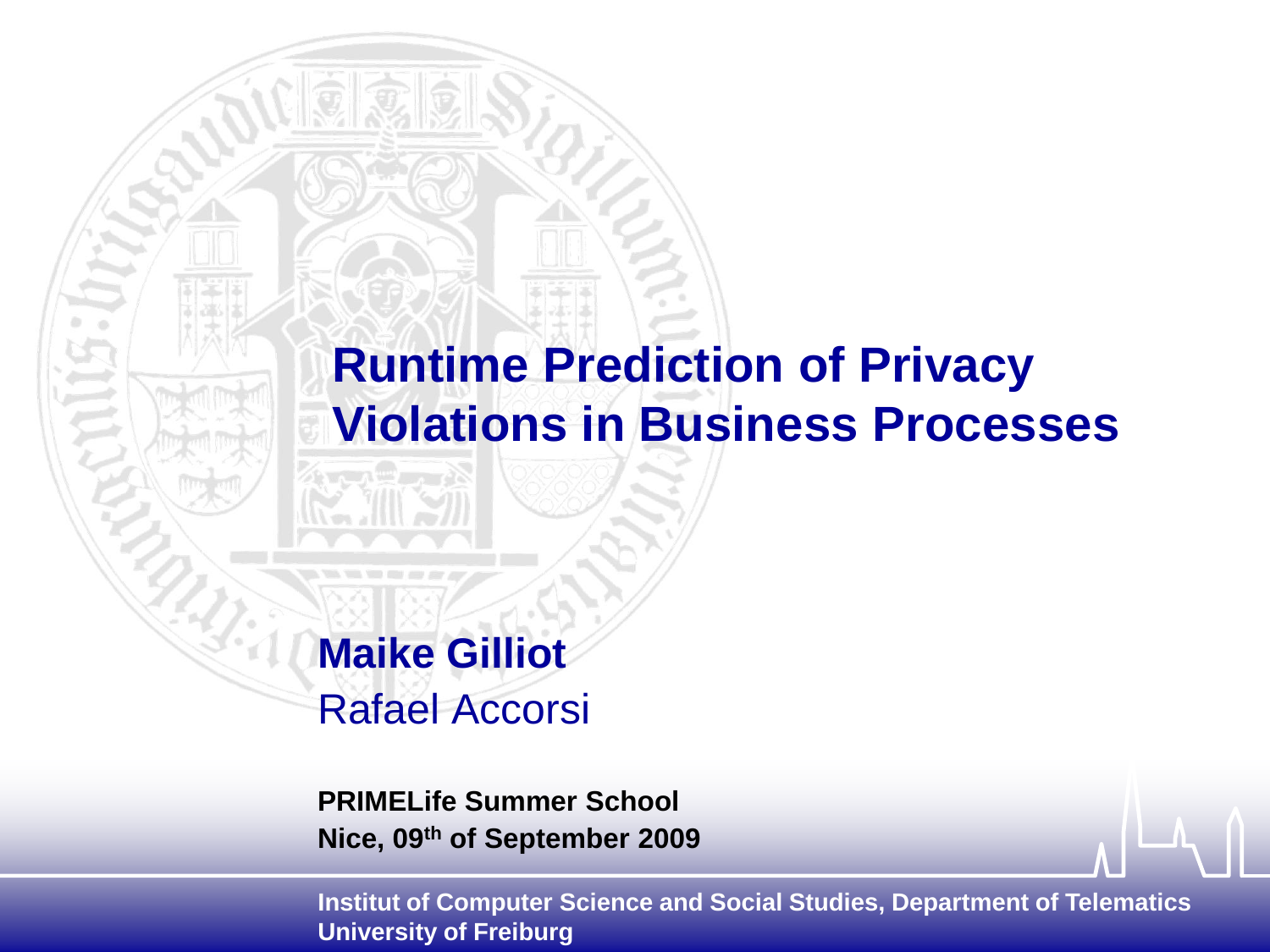# **Runtime Prediction of Privacy Violations in Business Processes**

**Maike Gilliot**  Rafael Accorsi

**PRIMELife Summer School Nice, 09th of September 2009**

**Institut of Computer Science and Social Studies, Department of Telematics University of Freiburg**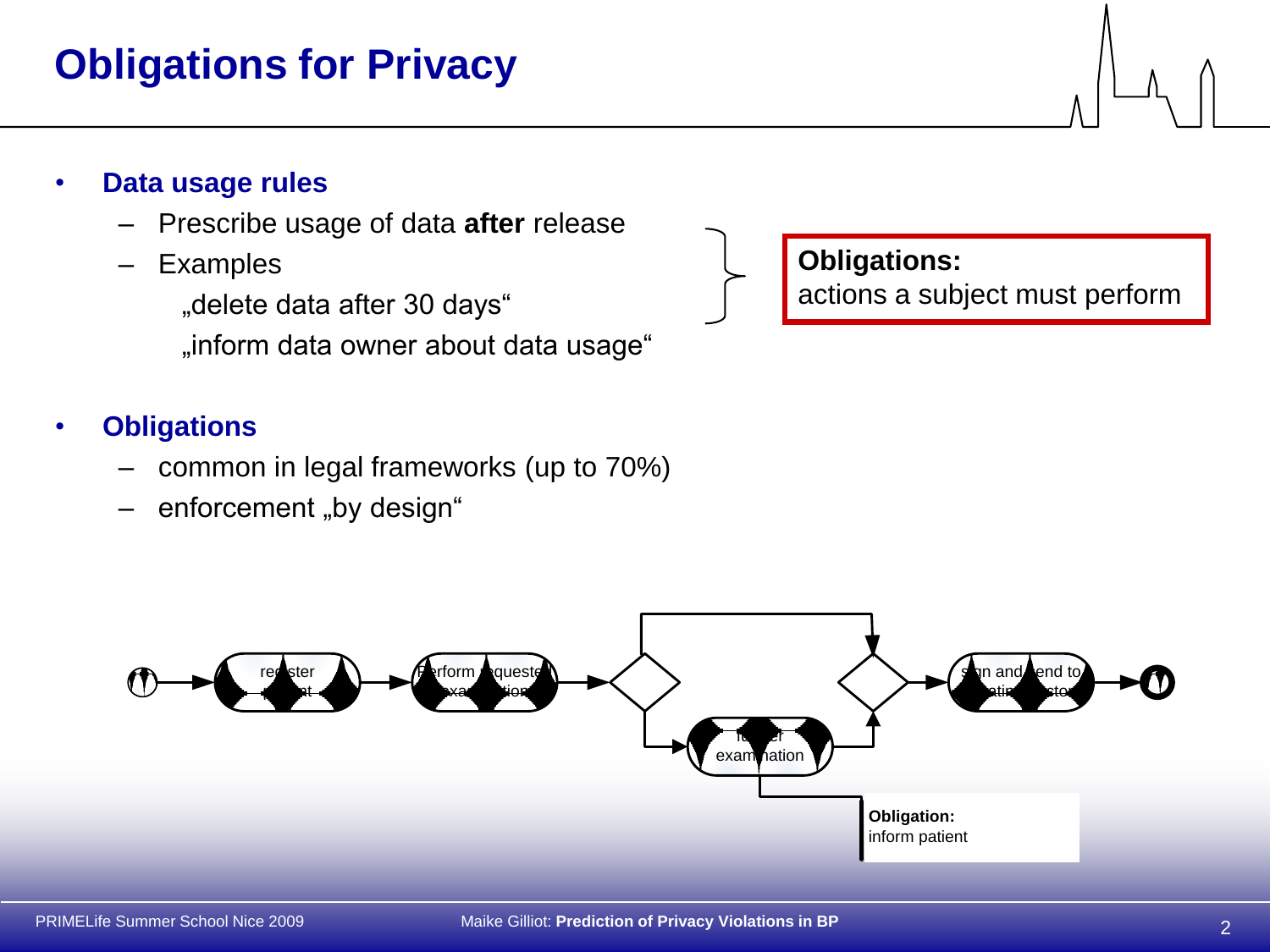# **Obligations for Privacy**

### • **Data usage rules**

- Prescribe usage of data **after** release
- Examples

"delete data after 30 days" "inform data owner about data usage"

### • **Obligations**

- common in legal frameworks (up to 70%)
- enforcement "by design"

# **Obligations:** actions a subject must perform

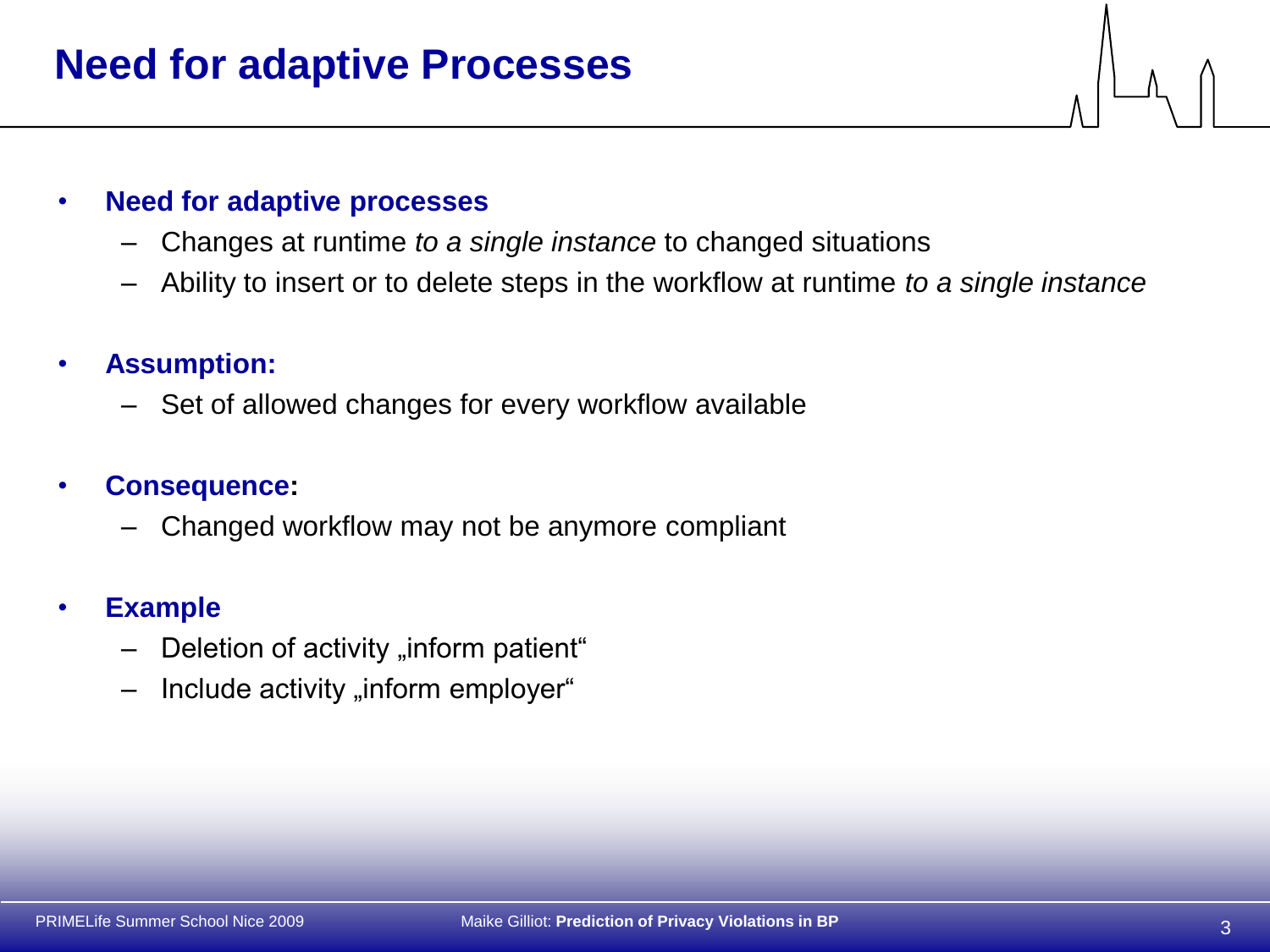# **Need for adaptive Processes**

#### • **Need for adaptive processes**

- Changes at runtime *to a single instance* to changed situations
- Ability to insert or to delete steps in the workflow at runtime *to a single instance*

### • **Assumption:**

– Set of allowed changes for every workflow available

#### • **Consequence:**

– Changed workflow may not be anymore compliant

#### • **Example**

- $-$  Deletion of activity "inform patient"
- Include activity "inform employer"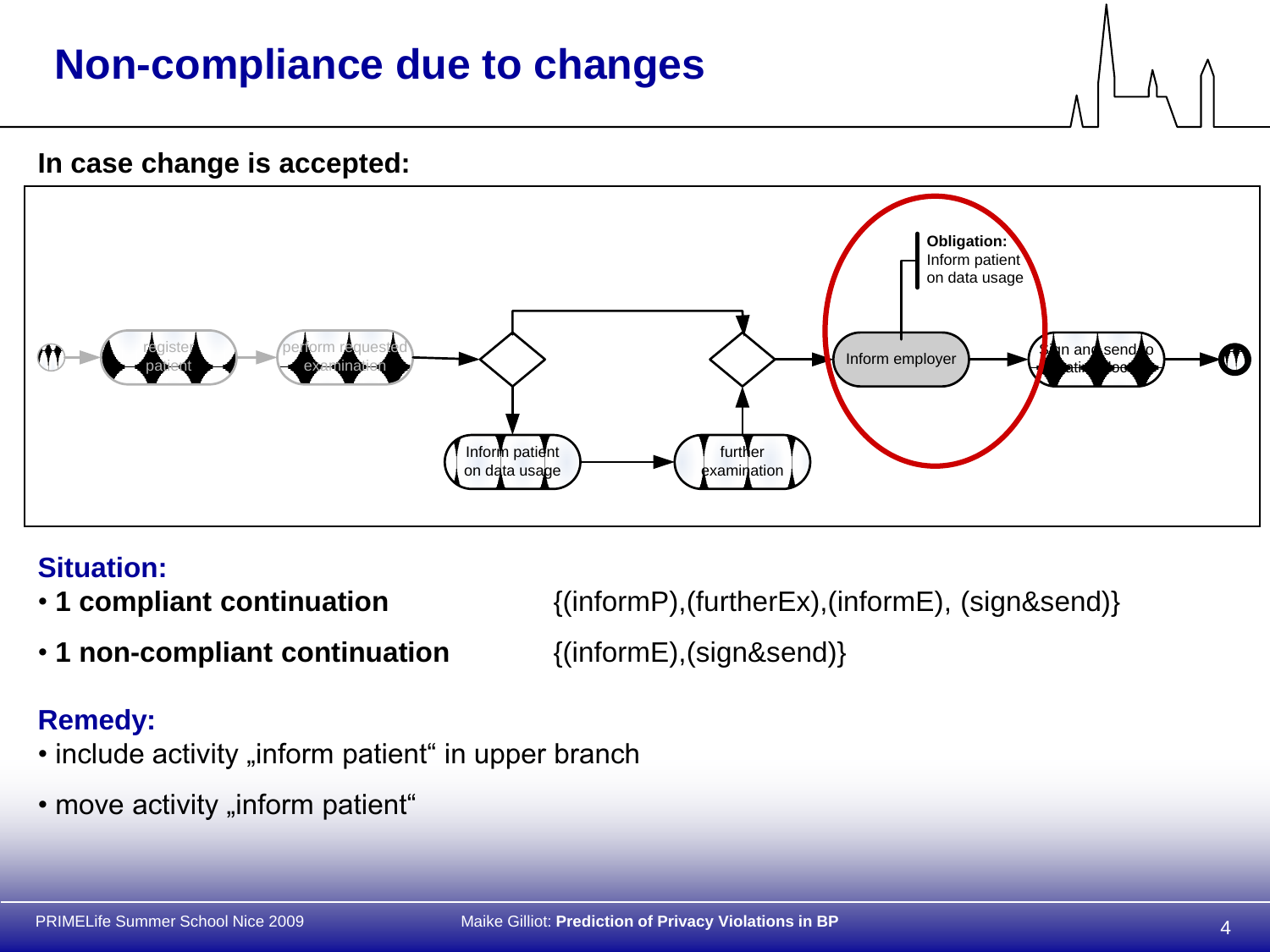# **Non-compliance due to changes**

#### **In case change is accepted:**



### **Situation:**

- 
- **1 non-compliant continuation** {(informE),(sign&send)}

• **1 compliant continuation** {(informP),(furtherEx),(informE), (sign&send)}

### **Remedy:**

- include activity "inform patient" in upper branch
- move activity "inform patient"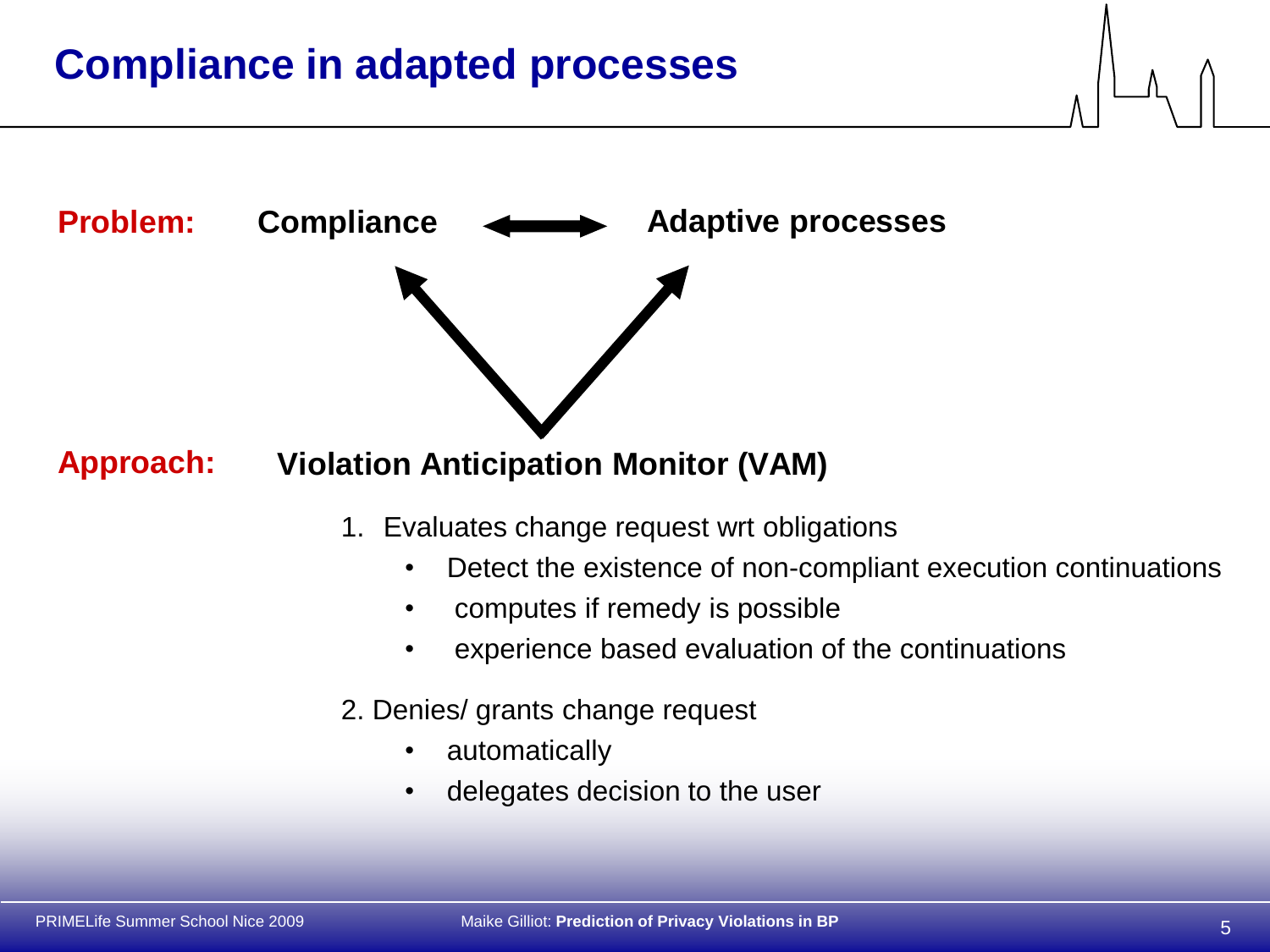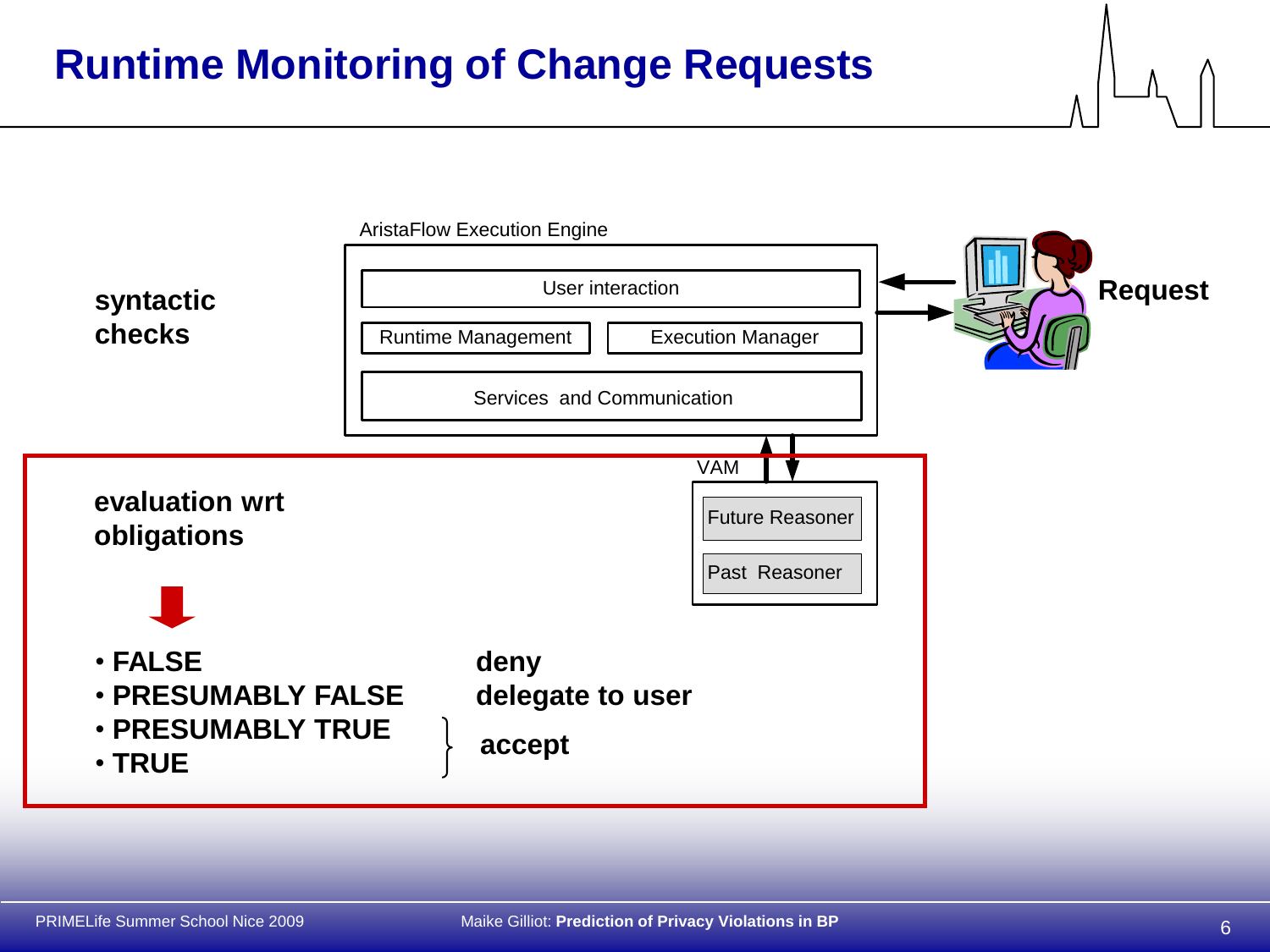# **Runtime Monitoring of Change Requests**

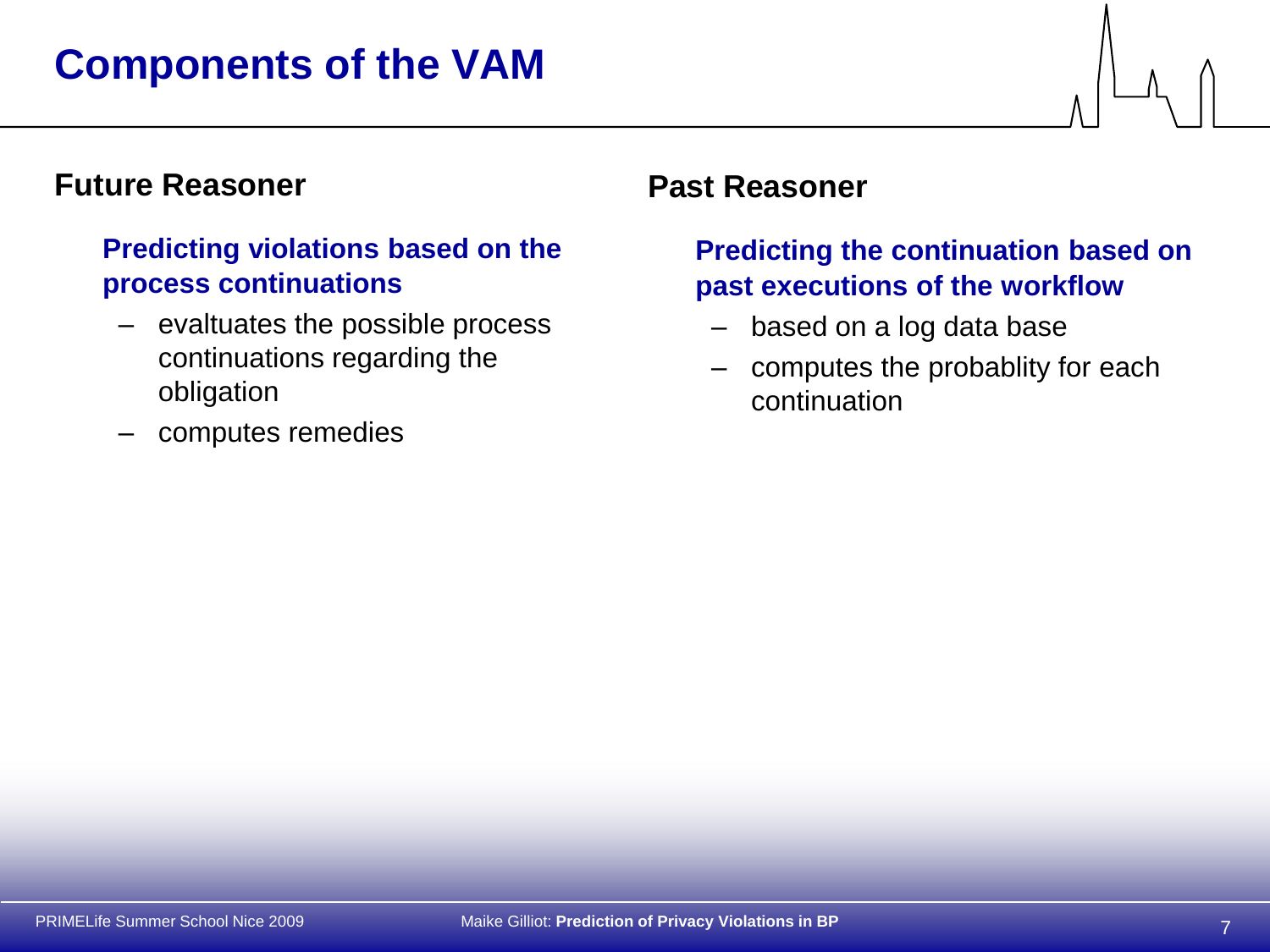# **Future Reasoner**

### **Predicting violations based on the process continuations**

- evaltuates the possible process continuations regarding the obligation
- computes remedies

### **Past Reasoner**

### **Predicting the continuation based on past executions of the workflow**

- based on a log data base
- computes the probablity for each continuation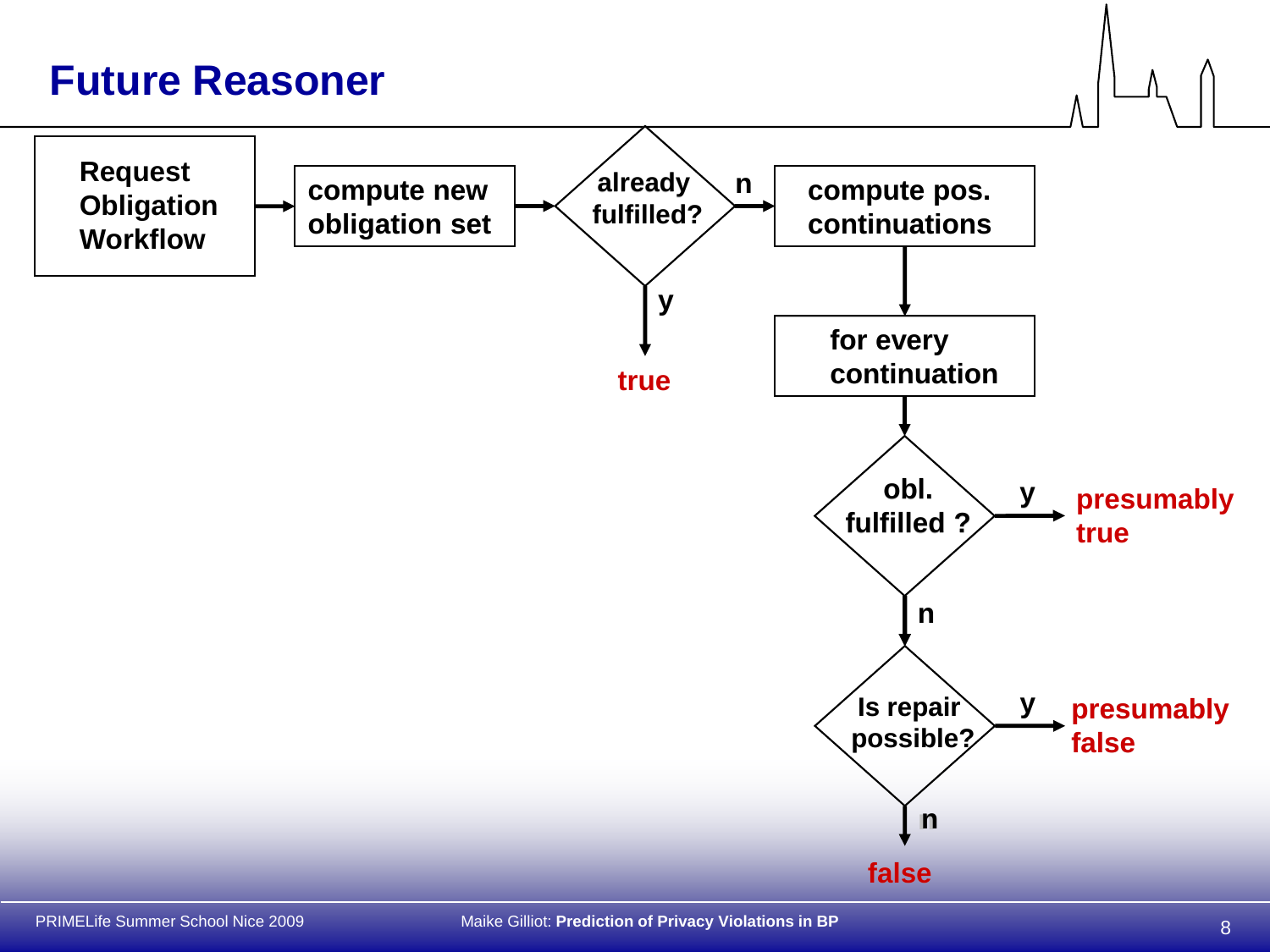# **Future Reasoner**

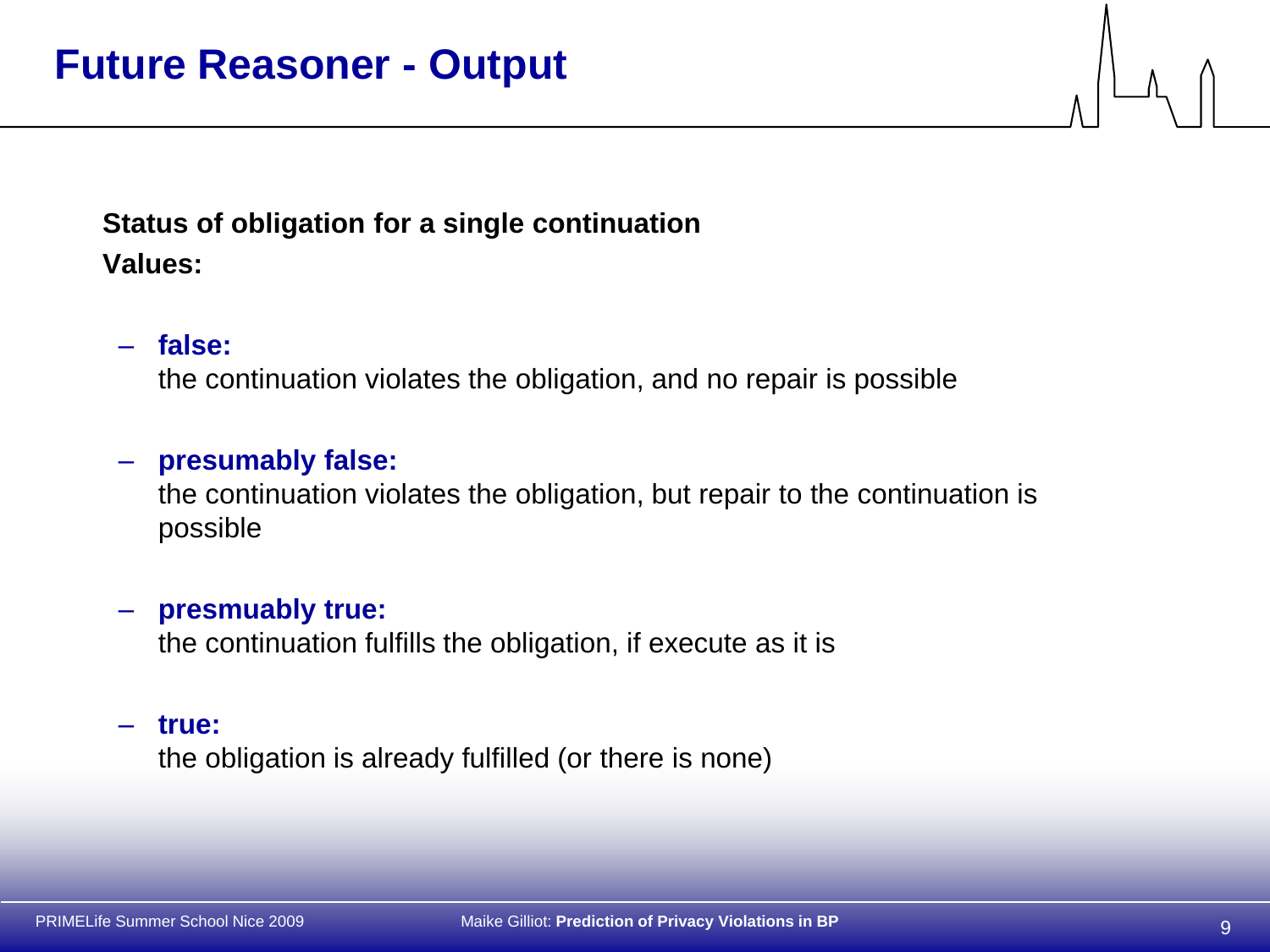# **Status of obligation for a single continuation Values:**

### – **false:**

the continuation violates the obligation, and no repair is possible

### – **presumably false:**

the continuation violates the obligation, but repair to the continuation is possible

#### – **presmuably true:**

the continuation fulfills the obligation, if execute as it is

#### – **true:**

the obligation is already fulfilled (or there is none)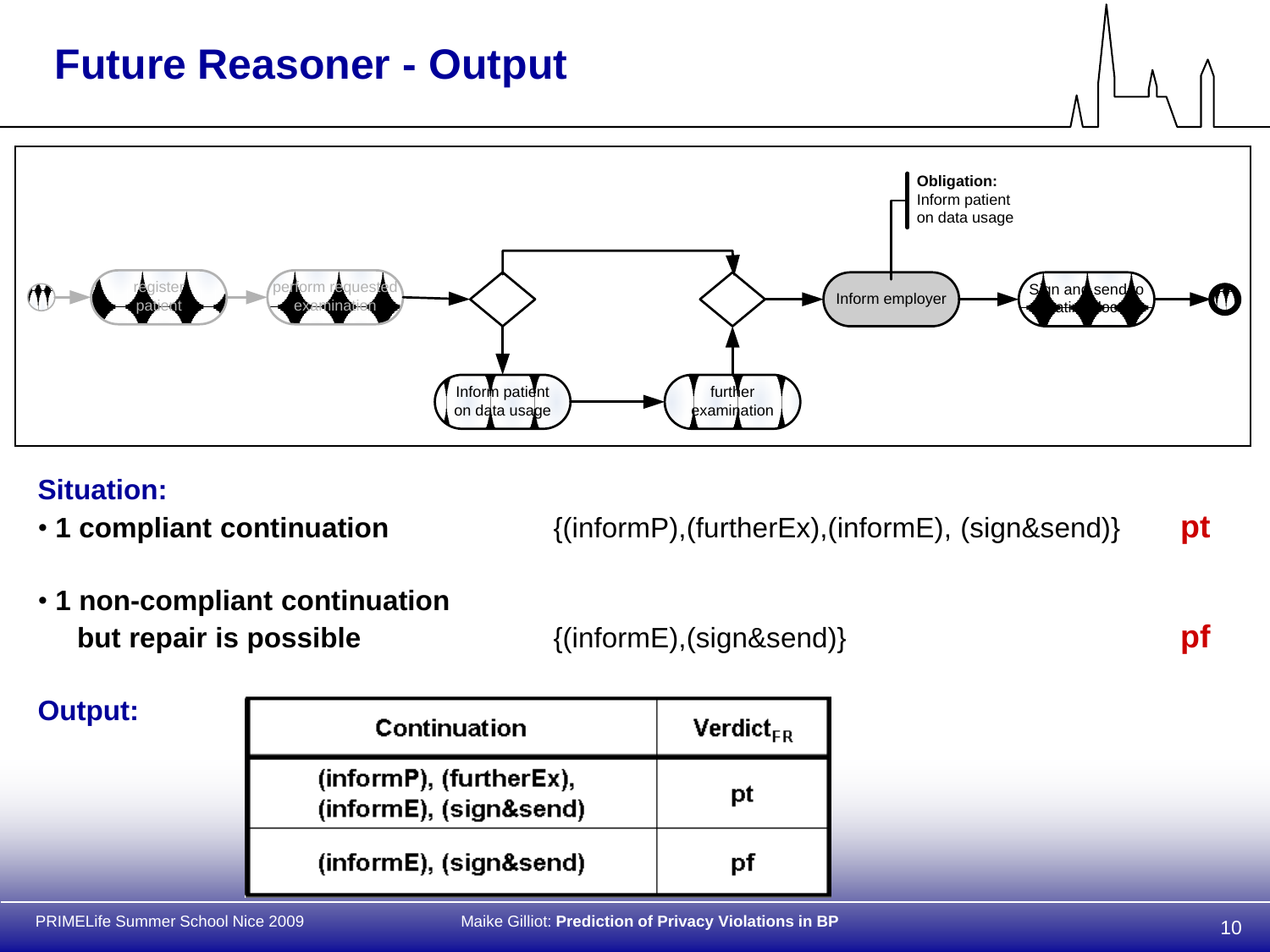# **Future Reasoner - Output**



### **Situation:**

• **1 compliant continuation** {(informP),(furtherEx),(informE), (sign&send)} **pt**

• **1 non-compliant continuation but repair is possible**  ${(\text{informE}), (\text{sign}\&\text{send})}$  **pf** 

#### **Output:**Continuation  $Vert_{FR}$ (informP), (furtherEx), pt (informE), (sign&send) (informE), (sign&send) pf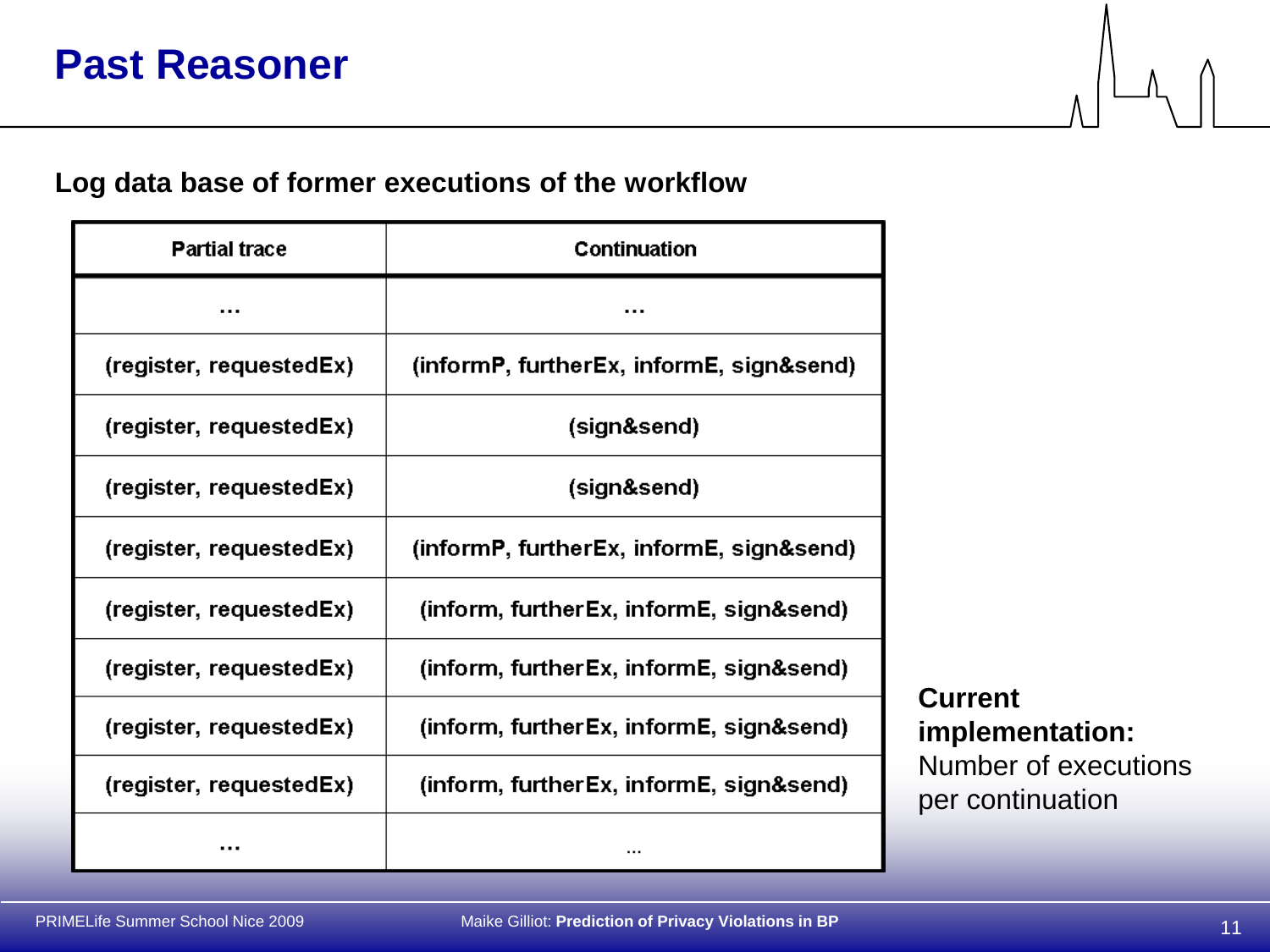### **Log data base of former executions of the workflow**

| <b>Partial trace</b>    | Continuation                             |
|-------------------------|------------------------------------------|
|                         |                                          |
| (register, requestedEx) | (informP, furtherEx, informE, sign&send) |
| (register, requestedEx) | (sign&send)                              |
| (register, requestedEx) | (sign&send)                              |
| (register, requestedEx) | (informP, furtherEx, informE, sign&send) |
| (register, requestedEx) | (inform, furtherEx, informE, sign&send)  |
| (register, requestedEx) | (inform, furtherEx, informE, sign&send)  |
| (register, requestedEx) | (inform, furtherEx, informE, sign&send)  |
| (register, requestedEx) | (inform, furtherEx, informE, sign&send)  |
|                         |                                          |

**Current implementation:** Number of executions per continuation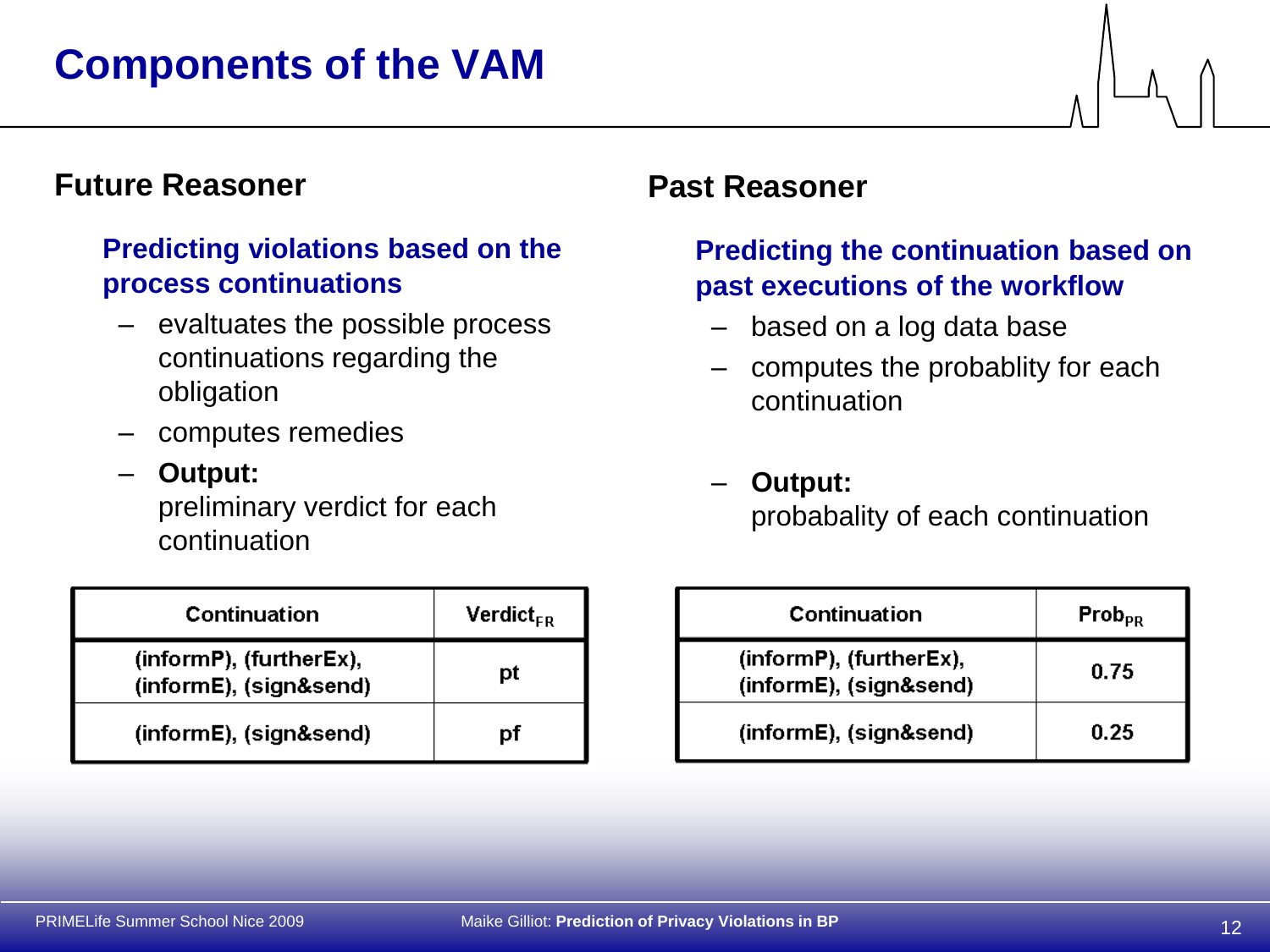# **Future Reasoner**

### **Predicting violations based on the process continuations**

- evaltuates the possible process continuations regarding the obligation
- computes remedies
- **Output:**

preliminary verdict for each continuation

| Continuation                                      | $Verdict_{FR}$ |
|---------------------------------------------------|----------------|
| (informP), (furtherEx),<br>(informE), (sign&send) | рt             |
| (informE), (sign&send)                            | рt             |

## **Past Reasoner**

### **Predicting the continuation based on past executions of the workflow**

- based on a log data base
- computes the probablity for each continuation
- **Output:** probabality of each continuation

| Continuation                                      | Prob <sub>PR</sub> |
|---------------------------------------------------|--------------------|
| (informP), (furtherEx),<br>(informE), (sign&send) | 0.75               |
| (informE), (sign&send)                            | 0.25               |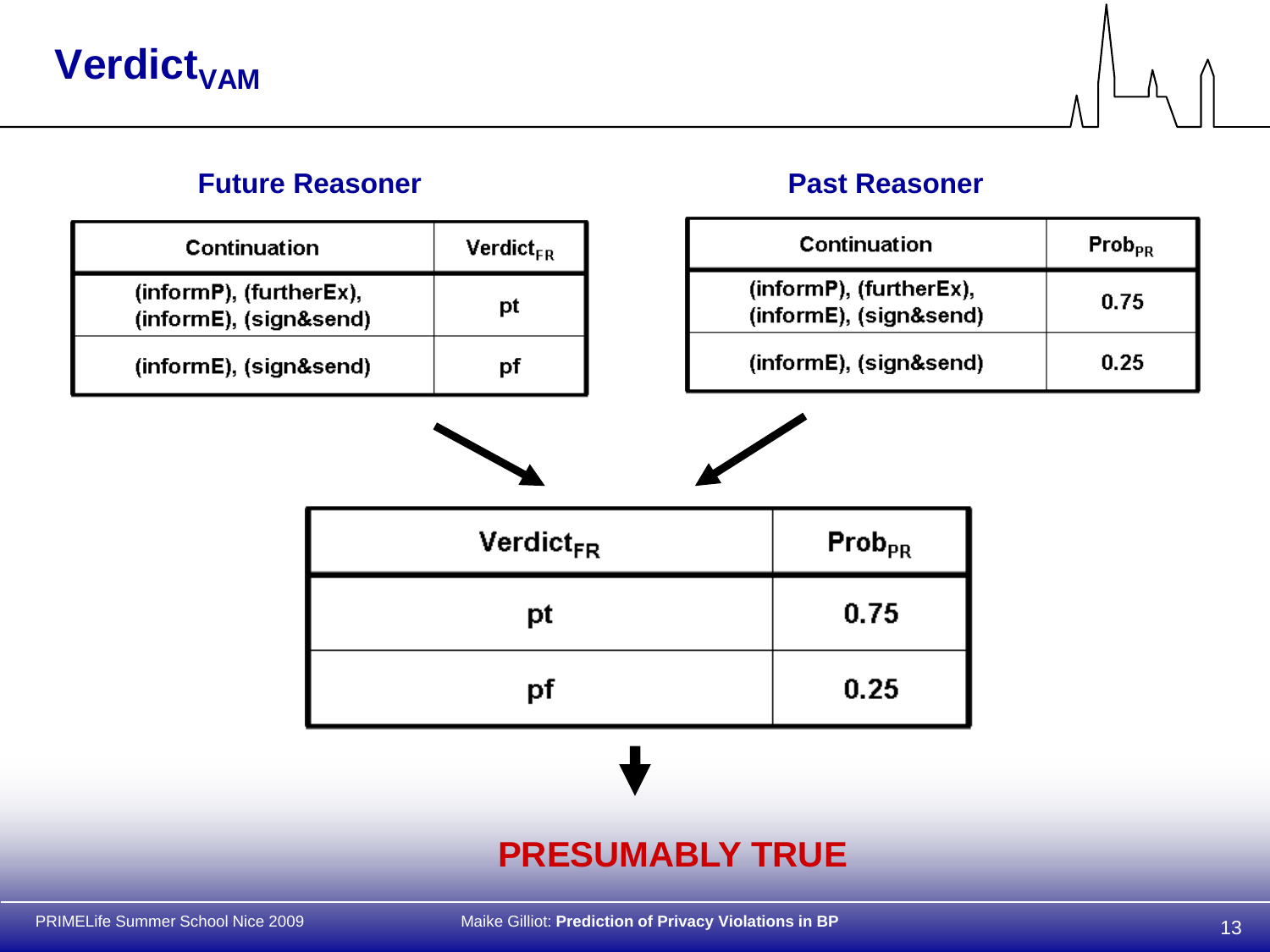# **Verdict<sub>VAM</sub>**

### **Future Reasoner Past Reasoner**

| Continuation                                      | $Verdict_{FR}$ |
|---------------------------------------------------|----------------|
| (informP), (furtherEx),<br>(informE), (sign&send) | рt             |
| (informE), (sign&send)                            | nt             |

| Continuation                                      | Prob <sub>PR</sub> |
|---------------------------------------------------|--------------------|
| (informP), (furtherEx),<br>(informE), (sign&send) | 0.75               |
| (informE), (sign&send)                            | 0.25               |

| <b>Verdict<sub>FR</sub></b> | $\mathsf{Prob}_{\mathsf{PR}}$ |
|-----------------------------|-------------------------------|
| pt                          | 0.75                          |
| pf                          | 0.25                          |
|                             |                               |

# **PRESUMABLY TRUE**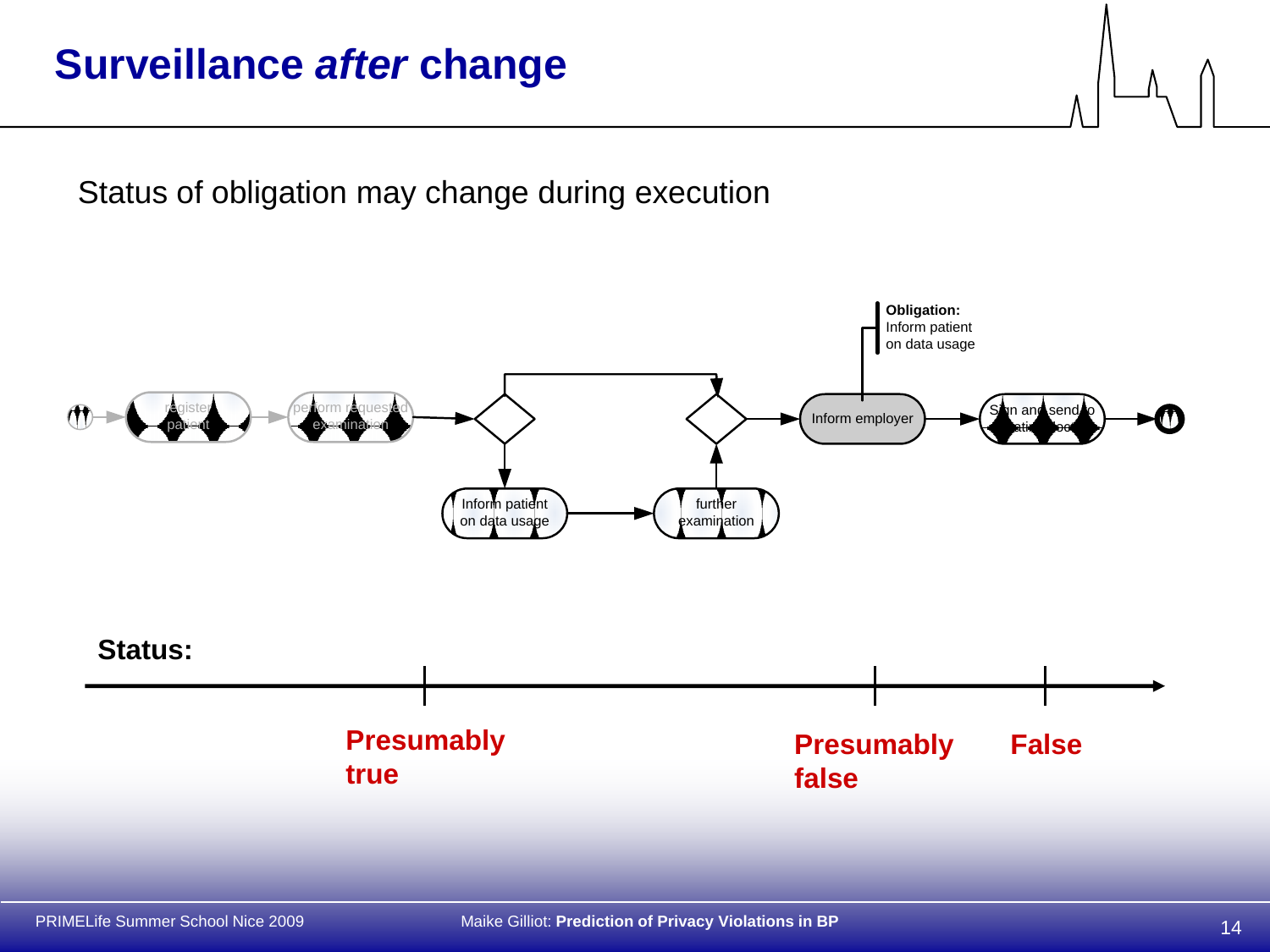# **Surveillance** *after* **change**

Status of obligation may change during execution

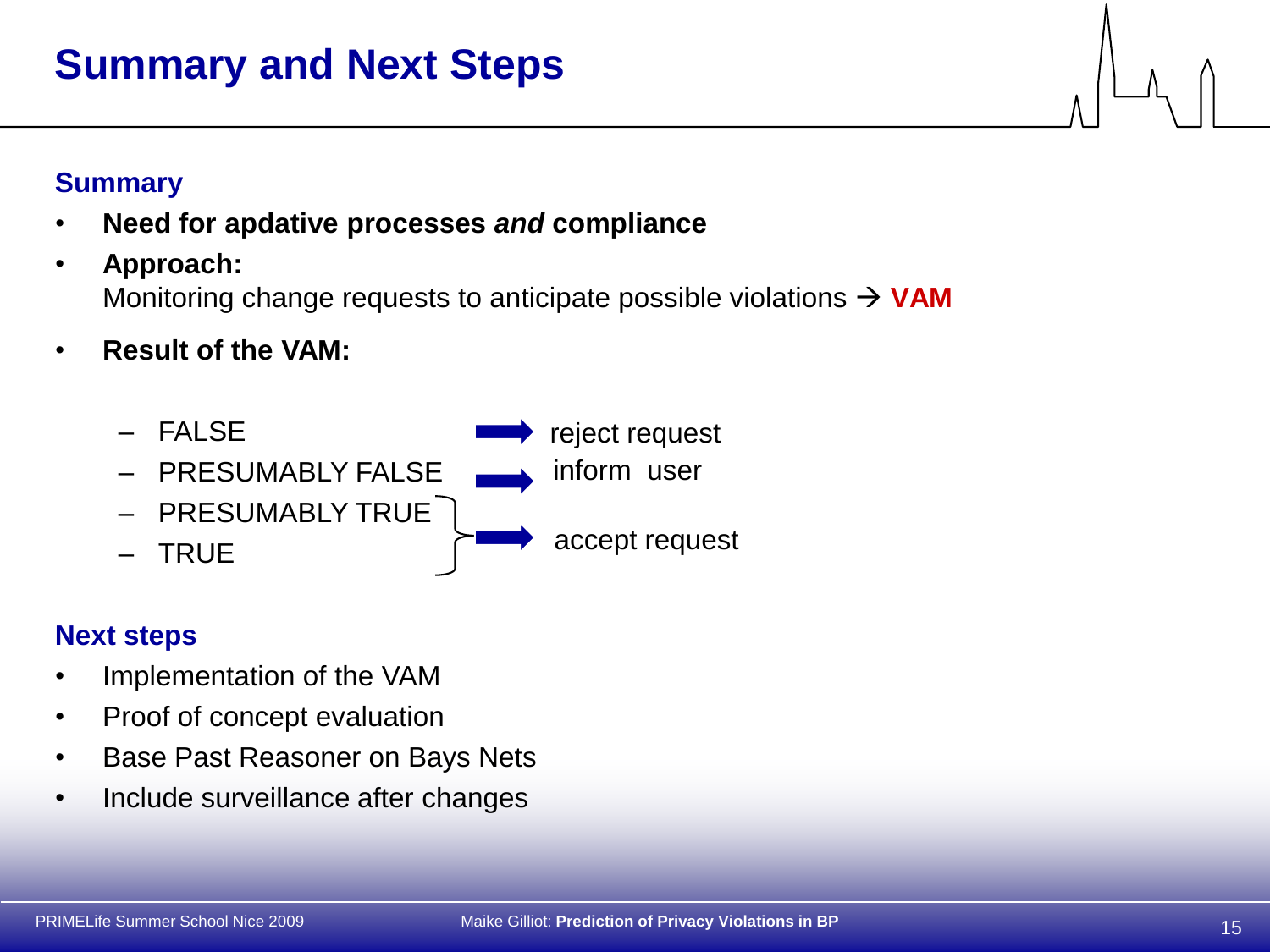# **Summary and Next Steps**

# **Summary**

- **Need for apdative processes** *and* **compliance**
- **Approach:**  Monitoring change requests to anticipate possible violations  $\rightarrow$  **VAM**
- **Result of the VAM:**



## **Next steps**

- Implementation of the VAM
- Proof of concept evaluation
- Base Past Reasoner on Bays Nets
- Include surveillance after changes